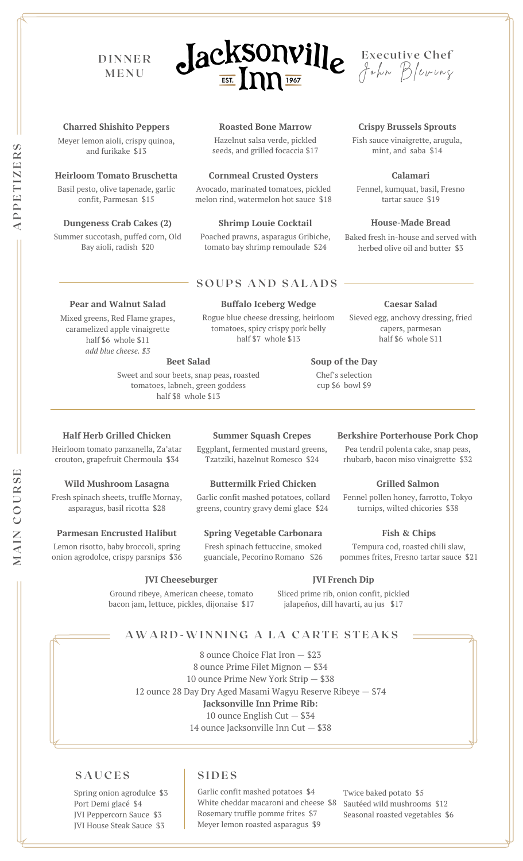## **D I N N E R M E N U**





**Crispy Brussels Sprouts** Fish sauce vinaigrette, arugula, mint, and saba \$14

#### **Charred Shishito Peppers**

Meyer lemon aioli, crispy quinoa, and furikake \$13

#### **Heirloom Tomato Bruschetta**

Basil pesto, olive tapenade, garlic confit, Parmesan \$15

#### **Dungeness Crab Cakes (2)**

Summer succotash, puffed corn, Old Bay aioli, radish \$20

**Pear and Walnut Salad** Mixed greens, Red Flame grapes, caramelized apple vinaigrette half \$6 whole \$11 *add blue cheese. \$3*

#### **Roasted Bone Marrow**

Hazelnut salsa verde, pickled seeds, and grilled focaccia \$17

#### **Cornmeal Crusted Oysters**

Avocado, marinated tomatoes, pickled melon rind, watermelon hot sauce \$18

#### **Shrimp Louie Cocktail**

Poached prawns, asparagus Gribiche, tomato bay shrimp remoulade \$24

#### **S O U P S A N D S A L A D S**

Rogue blue cheese dressing, heirloom tomatoes, spicy crispy pork belly half \$7 whole \$13

## **Caesar Salad**

**House-Made Bread** Baked fresh in-house and served with herbed olive oil and butter \$3

**Calamari**

tartar sauce \$19

Sieved egg, anchovy dressing, fried capers, parmesan half \$6 whole \$11

**Berkshire Porterhouse Pork Chop** Pea tendril polenta cake, snap peas, rhubarb, bacon miso vinaigrette \$32

**Grilled Salmon** Fennel pollen honey, farrotto, Tokyo turnips, wilted chicories \$38

**Fish & Chips** Tempura cod, roasted chili slaw, pommes frites, Fresno tartar sauce \$21

#### **Beet Salad**

Sweet and sour beets, snap peas, roasted tomatoes, labneh, green goddess half \$8 whole \$13

#### **Half Herb Grilled Chicken**

Heirloom tomato panzanella, Za'atar crouton, grapefruit Chermoula \$34

#### **Wild Mushroom Lasagna**

Fresh spinach sheets, truffle Mornay, asparagus, basil ricotta \$28

#### **Parmesan Encrusted Halibut**

Lemon risotto, baby broccoli, spring onion agrodolce, crispy parsnips \$36

#### **Summer Squash Crepes**

Eggplant, fermented mustard greens, Tzatziki, hazelnut Romesco \$24

#### **Buttermilk Fried Chicken**

Garlic confit mashed potatoes, collard greens, country gravy demi glace \$24

#### **Spring Vegetable Carbonara**

Fresh spinach fettuccine, smoked guanciale, Pecorino Romano \$26

#### **JVI Cheeseburger**

Ground ribeye, American cheese, tomato bacon jam, lettuce, pickles, dijonaise \$17

#### **JVI French Dip**

Sliced prime rib, onion confit, pickled jalapeños, dill havarti, au jus \$17

#### **AWA R D -WI N N I N G A L A C A R T E S T E A K S**

 ounce Choice Flat Iron — \$23 ounce Prime Filet Mignon — \$34 ounce Prime New York Strip — \$38 ounce 28 Day Dry Aged Masami Wagyu Reserve Ribeye — \$74 **Jacksonville Inn Prime Rib:** ounce English Cut — \$34 ounce Jacksonville Inn Cut — \$38

#### $\vert$  **SIDES**

Spring onion agrodulce \$3 Port Demi glacé \$4 JVI Peppercorn Sauce \$3 JVI House Steak Sauce \$3

Garlic confit mashed potatoes \$4 White cheddar macaroni and cheese \$8 Rosemary truffle pomme frites \$7 Meyer lemon roasted asparagus \$9

Twice baked potato \$5 Sautéed wild mushrooms \$12 Seasonal roasted vegetables \$6

**PPET I Z ERS**

**A**

**M**

Chef's selection cup \$6 bowl \$9

**Soup of the Day**

**Buffalo Iceberg Wedge**

# Fennel, kumquat, basil, Fresno